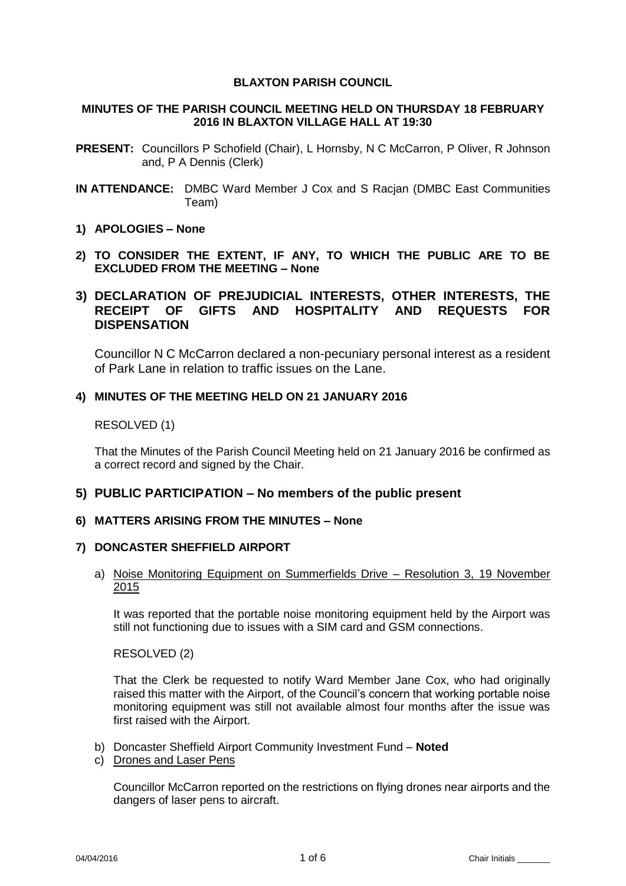### **BLAXTON PARISH COUNCIL**

### **MINUTES OF THE PARISH COUNCIL MEETING HELD ON THURSDAY 18 FEBRUARY 2016 IN BLAXTON VILLAGE HALL AT 19:30**

- **PRESENT:** Councillors P Schofield (Chair), L Hornsby, N C McCarron, P Oliver, R Johnson and, P A Dennis (Clerk)
- **IN ATTENDANCE:** DMBC Ward Member J Cox and S Racjan (DMBC East Communities Team)
- **1) APOLOGIES – None**
- **2) TO CONSIDER THE EXTENT, IF ANY, TO WHICH THE PUBLIC ARE TO BE EXCLUDED FROM THE MEETING – None**

# **3) DECLARATION OF PREJUDICIAL INTERESTS, OTHER INTERESTS, THE RECEIPT OF GIFTS AND HOSPITALITY AND REQUESTS FOR DISPENSATION**

Councillor N C McCarron declared a non-pecuniary personal interest as a resident of Park Lane in relation to traffic issues on the Lane.

## **4) MINUTES OF THE MEETING HELD ON 21 JANUARY 2016**

## RESOLVED (1)

That the Minutes of the Parish Council Meeting held on 21 January 2016 be confirmed as a correct record and signed by the Chair.

# **5) PUBLIC PARTICIPATION – No members of the public present**

## **6) MATTERS ARISING FROM THE MINUTES – None**

## **7) DONCASTER SHEFFIELD AIRPORT**

### a) Noise Monitoring Equipment on Summerfields Drive – Resolution 3, 19 November 2015

It was reported that the portable noise monitoring equipment held by the Airport was still not functioning due to issues with a SIM card and GSM connections.

## RESOLVED (2)

That the Clerk be requested to notify Ward Member Jane Cox, who had originally raised this matter with the Airport, of the Council's concern that working portable noise monitoring equipment was still not available almost four months after the issue was first raised with the Airport.

- b) Doncaster Sheffield Airport Community Investment Fund **Noted**
- c) Drones and Laser Pens

Councillor McCarron reported on the restrictions on flying drones near airports and the dangers of laser pens to aircraft.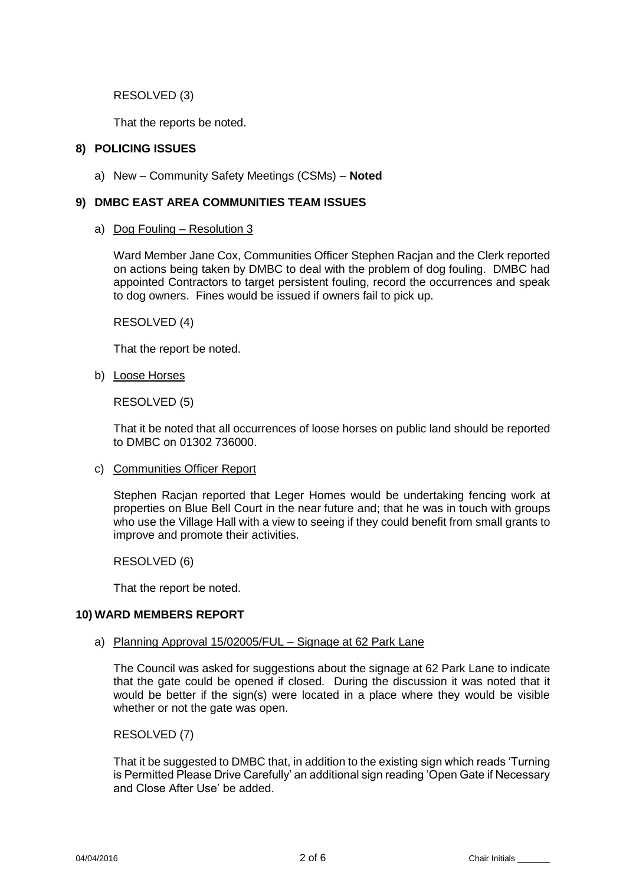RESOLVED (3)

That the reports be noted.

# **8) POLICING ISSUES**

a) New – Community Safety Meetings (CSMs) – **Noted**

# **9) DMBC EAST AREA COMMUNITIES TEAM ISSUES**

a) Dog Fouling – Resolution 3

Ward Member Jane Cox, Communities Officer Stephen Racjan and the Clerk reported on actions being taken by DMBC to deal with the problem of dog fouling. DMBC had appointed Contractors to target persistent fouling, record the occurrences and speak to dog owners. Fines would be issued if owners fail to pick up.

RESOLVED (4)

That the report be noted.

b) Loose Horses

RESOLVED (5)

That it be noted that all occurrences of loose horses on public land should be reported to DMBC on 01302 736000.

c) Communities Officer Report

Stephen Racjan reported that Leger Homes would be undertaking fencing work at properties on Blue Bell Court in the near future and; that he was in touch with groups who use the Village Hall with a view to seeing if they could benefit from small grants to improve and promote their activities.

RESOLVED (6)

That the report be noted.

#### **10) WARD MEMBERS REPORT**

a) Planning Approval 15/02005/FUL – Signage at 62 Park Lane

The Council was asked for suggestions about the signage at 62 Park Lane to indicate that the gate could be opened if closed. During the discussion it was noted that it would be better if the sign(s) were located in a place where they would be visible whether or not the gate was open.

RESOLVED (7)

That it be suggested to DMBC that, in addition to the existing sign which reads 'Turning is Permitted Please Drive Carefully' an additional sign reading 'Open Gate if Necessary and Close After Use' be added.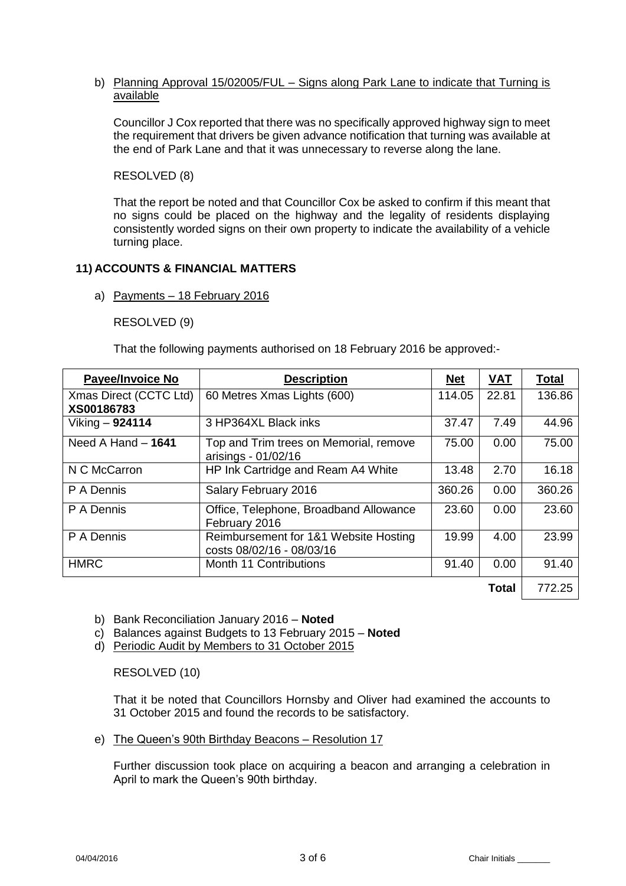### b) Planning Approval 15/02005/FUL – Signs along Park Lane to indicate that Turning is available

Councillor J Cox reported that there was no specifically approved highway sign to meet the requirement that drivers be given advance notification that turning was available at the end of Park Lane and that it was unnecessary to reverse along the lane.

RESOLVED (8)

That the report be noted and that Councillor Cox be asked to confirm if this meant that no signs could be placed on the highway and the legality of residents displaying consistently worded signs on their own property to indicate the availability of a vehicle turning place.

## **11) ACCOUNTS & FINANCIAL MATTERS**

### a) Payments – 18 February 2016

RESOLVED (9)

That the following payments authorised on 18 February 2016 be approved:-

| <b>Payee/Invoice No</b>              | <b>Description</b>                                                 | <b>Net</b> | <b>VAT</b>   | <b>Total</b> |
|--------------------------------------|--------------------------------------------------------------------|------------|--------------|--------------|
| Xmas Direct (CCTC Ltd)<br>XS00186783 | 60 Metres Xmas Lights (600)                                        | 114.05     | 22.81        | 136.86       |
| Viking - 924114                      | 3 HP364XL Black inks                                               | 37.47      | 7.49         | 44.96        |
| Need A Hand $-$ 1641                 | Top and Trim trees on Memorial, remove<br>arisings - 01/02/16      | 75.00      | 0.00         | 75.00        |
| N C McCarron                         | HP Ink Cartridge and Ream A4 White                                 | 13.48      | 2.70         | 16.18        |
| P A Dennis                           | Salary February 2016                                               | 360.26     | 0.00         | 360.26       |
| P A Dennis                           | Office, Telephone, Broadband Allowance<br>February 2016            | 23.60      | 0.00         | 23.60        |
| P A Dennis                           | Reimbursement for 1&1 Website Hosting<br>costs 08/02/16 - 08/03/16 | 19.99      | 4.00         | 23.99        |
| <b>HMRC</b>                          | Month 11 Contributions                                             | 91.40      | 0.00         | 91.40        |
|                                      |                                                                    |            | <b>Total</b> | 772.25       |

- b) Bank Reconciliation January 2016 **Noted**
- c) Balances against Budgets to 13 February 2015 **Noted**
- d) Periodic Audit by Members to 31 October 2015

RESOLVED (10)

That it be noted that Councillors Hornsby and Oliver had examined the accounts to 31 October 2015 and found the records to be satisfactory.

e) The Queen's 90th Birthday Beacons – Resolution 17

Further discussion took place on acquiring a beacon and arranging a celebration in April to mark the Queen's 90th birthday.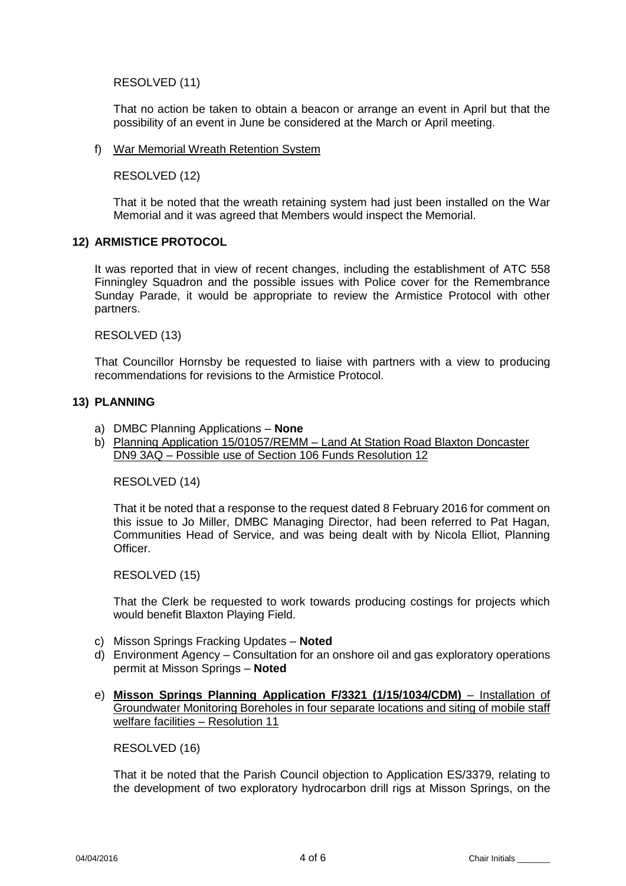RESOLVED (11)

That no action be taken to obtain a beacon or arrange an event in April but that the possibility of an event in June be considered at the March or April meeting.

#### f) War Memorial Wreath Retention System

RESOLVED (12)

That it be noted that the wreath retaining system had just been installed on the War Memorial and it was agreed that Members would inspect the Memorial.

## **12) ARMISTICE PROTOCOL**

It was reported that in view of recent changes, including the establishment of ATC 558 Finningley Squadron and the possible issues with Police cover for the Remembrance Sunday Parade, it would be appropriate to review the Armistice Protocol with other partners.

RESOLVED (13)

That Councillor Hornsby be requested to liaise with partners with a view to producing recommendations for revisions to the Armistice Protocol.

### **13) PLANNING**

- a) DMBC Planning Applications **None**
- b) Planning Application 15/01057/REMM Land At Station Road Blaxton Doncaster DN9 3AQ – Possible use of Section 106 Funds Resolution 12

RESOLVED (14)

That it be noted that a response to the request dated 8 February 2016 for comment on this issue to Jo Miller, DMBC Managing Director, had been referred to Pat Hagan, Communities Head of Service, and was being dealt with by Nicola Elliot, Planning Officer.

RESOLVED (15)

That the Clerk be requested to work towards producing costings for projects which would benefit Blaxton Playing Field.

- c) Misson Springs Fracking Updates **Noted**
- d) Environment Agency Consultation for an onshore oil and gas exploratory operations permit at Misson Springs – **Noted**
- e) **Misson Springs Planning Application F/3321 (1/15/1034/CDM)** Installation of Groundwater Monitoring Boreholes in four separate locations and siting of mobile staff welfare facilities – Resolution 11

RESOLVED (16)

That it be noted that the Parish Council objection to Application ES/3379, relating to the development of two exploratory hydrocarbon drill rigs at Misson Springs, on the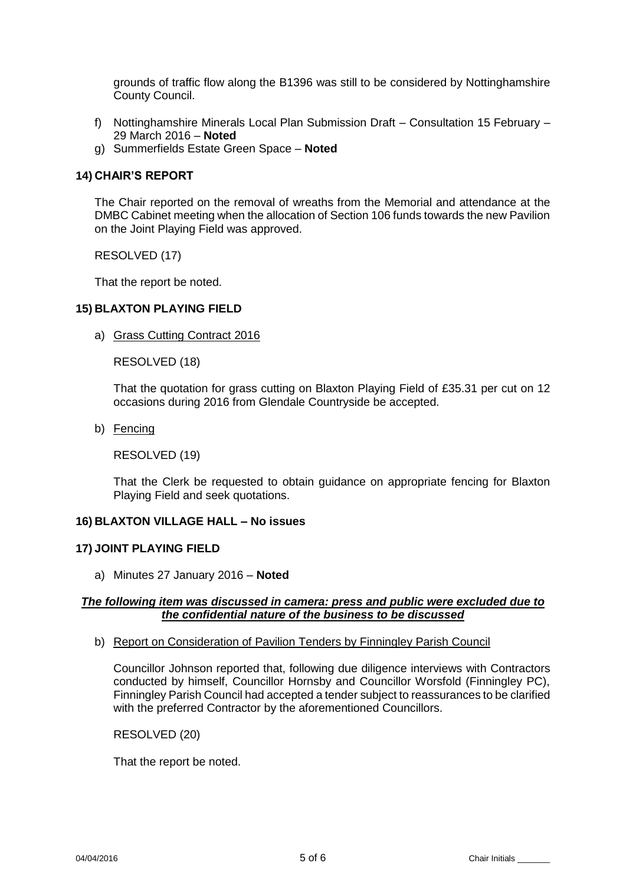grounds of traffic flow along the B1396 was still to be considered by Nottinghamshire County Council.

- f) Nottinghamshire Minerals Local Plan Submission Draft Consultation 15 February 29 March 2016 – **Noted**
- g) Summerfields Estate Green Space **Noted**

### **14) CHAIR'S REPORT**

The Chair reported on the removal of wreaths from the Memorial and attendance at the DMBC Cabinet meeting when the allocation of Section 106 funds towards the new Pavilion on the Joint Playing Field was approved.

RESOLVED (17)

That the report be noted.

### **15) BLAXTON PLAYING FIELD**

a) Grass Cutting Contract 2016

RESOLVED (18)

That the quotation for grass cutting on Blaxton Playing Field of £35.31 per cut on 12 occasions during 2016 from Glendale Countryside be accepted.

b) Fencing

RESOLVED (19)

That the Clerk be requested to obtain guidance on appropriate fencing for Blaxton Playing Field and seek quotations.

#### **16) BLAXTON VILLAGE HALL – No issues**

#### **17) JOINT PLAYING FIELD**

a) Minutes 27 January 2016 – **Noted**

### *The following item was discussed in camera: press and public were excluded due to the confidential nature of the business to be discussed*

b) Report on Consideration of Pavilion Tenders by Finningley Parish Council

Councillor Johnson reported that, following due diligence interviews with Contractors conducted by himself, Councillor Hornsby and Councillor Worsfold (Finningley PC), Finningley Parish Council had accepted a tender subject to reassurances to be clarified with the preferred Contractor by the aforementioned Councillors.

RESOLVED (20)

That the report be noted.